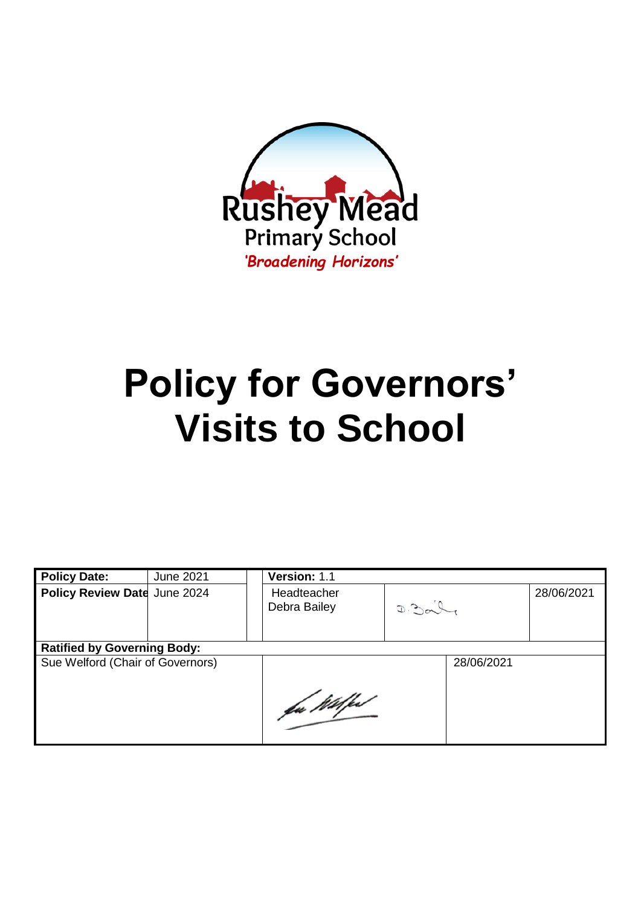

# **Policy for Governors' Visits to School**

| <b>Policy Date:</b>                | <b>June 2021</b> | Version: 1.1                |       |            |            |  |
|------------------------------------|------------------|-----------------------------|-------|------------|------------|--|
| Policy Review Date June 2024       |                  | Headteacher<br>Debra Bailey | D.201 |            | 28/06/2021 |  |
| <b>Ratified by Governing Body:</b> |                  |                             |       |            |            |  |
| Sue Welford (Chair of Governors)   |                  |                             |       | 28/06/2021 |            |  |
|                                    |                  | fa Wilfed                   |       |            |            |  |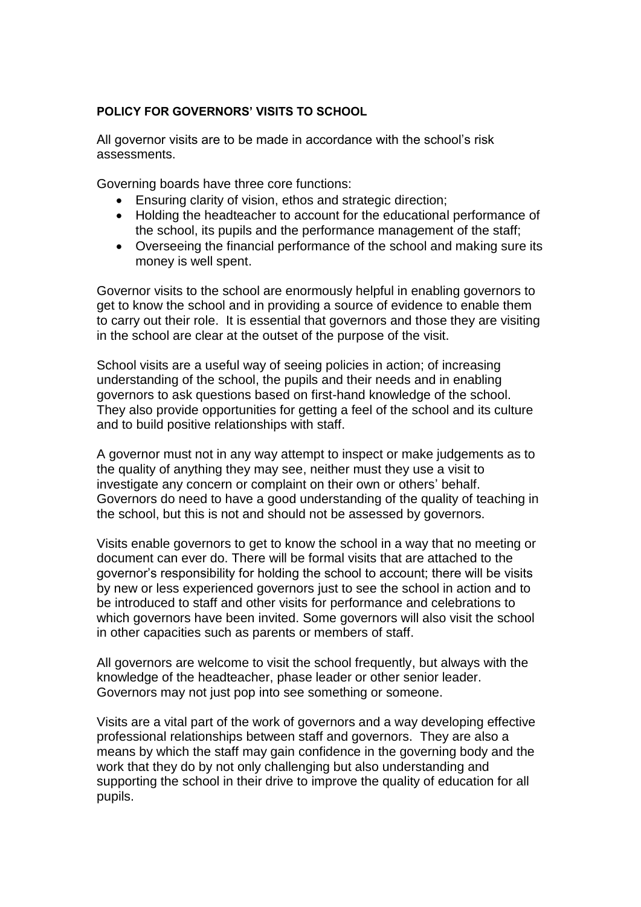#### **POLICY FOR GOVERNORS' VISITS TO SCHOOL**

All governor visits are to be made in accordance with the school's risk assessments.

Governing boards have three core functions:

- Ensuring clarity of vision, ethos and strategic direction;
- Holding the headteacher to account for the educational performance of the school, its pupils and the performance management of the staff;
- Overseeing the financial performance of the school and making sure its money is well spent.

Governor visits to the school are enormously helpful in enabling governors to get to know the school and in providing a source of evidence to enable them to carry out their role. It is essential that governors and those they are visiting in the school are clear at the outset of the purpose of the visit.

School visits are a useful way of seeing policies in action; of increasing understanding of the school, the pupils and their needs and in enabling governors to ask questions based on first-hand knowledge of the school. They also provide opportunities for getting a feel of the school and its culture and to build positive relationships with staff.

A governor must not in any way attempt to inspect or make judgements as to the quality of anything they may see, neither must they use a visit to investigate any concern or complaint on their own or others' behalf. Governors do need to have a good understanding of the quality of teaching in the school, but this is not and should not be assessed by governors.

Visits enable governors to get to know the school in a way that no meeting or document can ever do. There will be formal visits that are attached to the governor's responsibility for holding the school to account; there will be visits by new or less experienced governors just to see the school in action and to be introduced to staff and other visits for performance and celebrations to which governors have been invited. Some governors will also visit the school in other capacities such as parents or members of staff.

All governors are welcome to visit the school frequently, but always with the knowledge of the headteacher, phase leader or other senior leader. Governors may not just pop into see something or someone.

Visits are a vital part of the work of governors and a way developing effective professional relationships between staff and governors. They are also a means by which the staff may gain confidence in the governing body and the work that they do by not only challenging but also understanding and supporting the school in their drive to improve the quality of education for all pupils.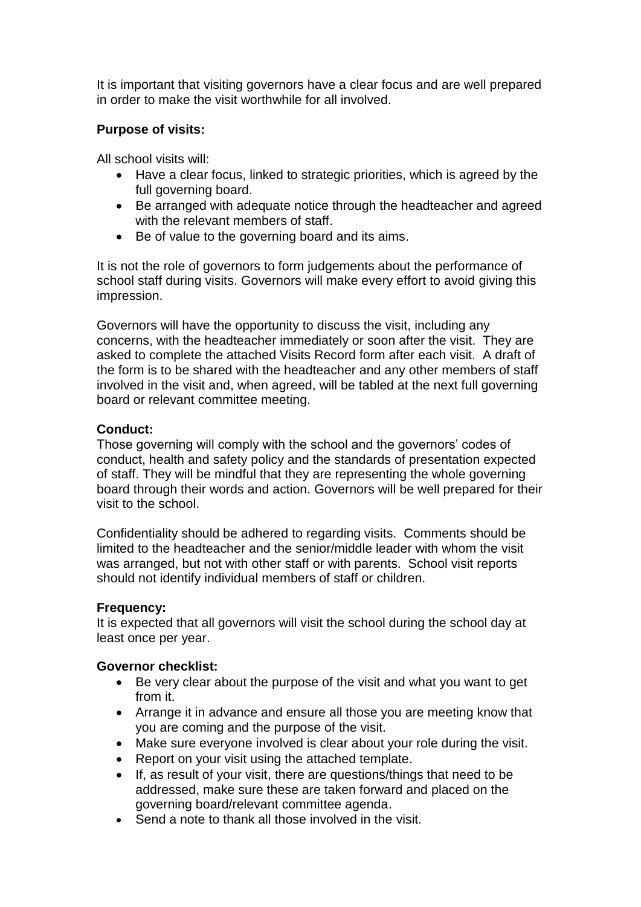It is important that visiting governors have a clear focus and are well prepared in order to make the visit worthwhile for all involved.

### **Purpose of visits:**

All school visits will:

- Have a clear focus, linked to strategic priorities, which is agreed by the full governing board.
- Be arranged with adequate notice through the headteacher and agreed with the relevant members of staff.
- Be of value to the governing board and its aims.

It is not the role of governors to form judgements about the performance of school staff during visits. Governors will make every effort to avoid giving this impression.

Governors will have the opportunity to discuss the visit, including any concerns, with the headteacher immediately or soon after the visit. They are asked to complete the attached Visits Record form after each visit. A draft of the form is to be shared with the headteacher and any other members of staff involved in the visit and, when agreed, will be tabled at the next full governing board or relevant committee meeting.

#### **Conduct:**

Those governing will comply with the school and the governors' codes of conduct, health and safety policy and the standards of presentation expected of staff. They will be mindful that they are representing the whole governing board through their words and action. Governors will be well prepared for their visit to the school.

Confidentiality should be adhered to regarding visits. Comments should be limited to the headteacher and the senior/middle leader with whom the visit was arranged, but not with other staff or with parents. School visit reports should not identify individual members of staff or children.

#### **Frequency:**

It is expected that all governors will visit the school during the school day at least once per year.

#### **Governor checklist:**

- Be very clear about the purpose of the visit and what you want to get from it.
- Arrange it in advance and ensure all those you are meeting know that you are coming and the purpose of the visit.
- Make sure everyone involved is clear about your role during the visit.
- Report on your visit using the attached template.
- If, as result of your visit, there are questions/things that need to be addressed, make sure these are taken forward and placed on the governing board/relevant committee agenda.
- Send a note to thank all those involved in the visit.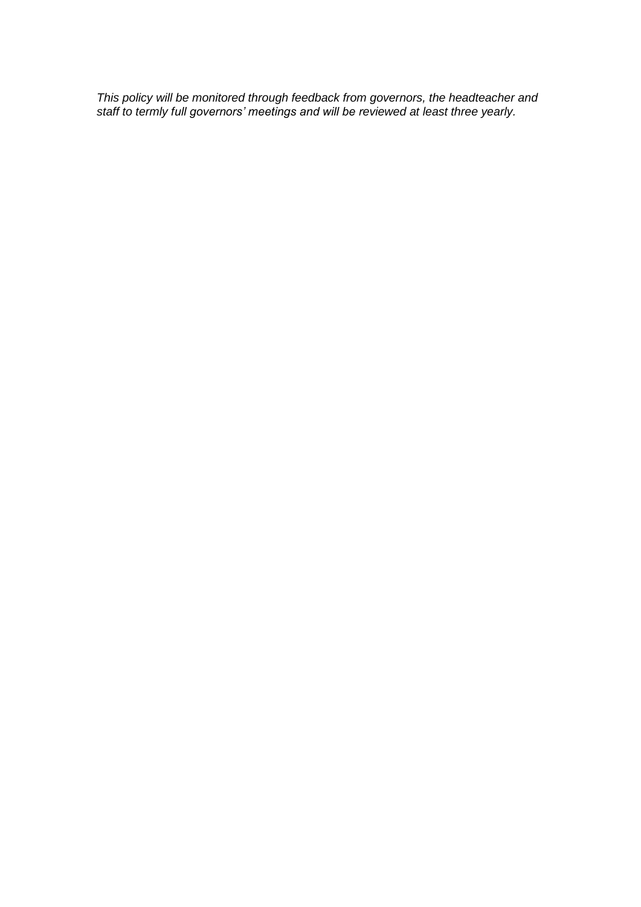*This policy will be monitored through feedback from governors, the headteacher and staff to termly full governors' meetings and will be reviewed at least three yearly.*